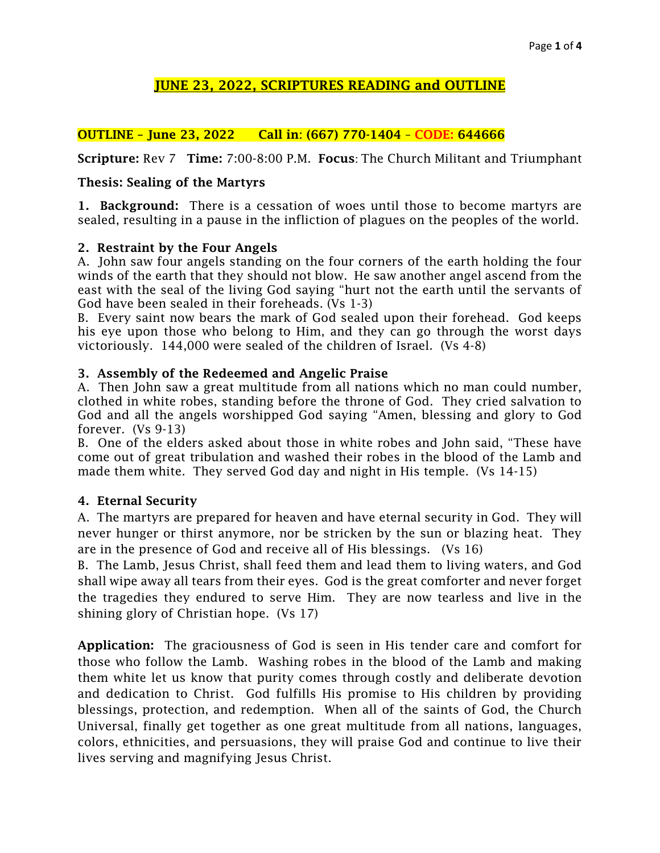# JUNE 23, 2022, SCRIPTURES READING and OUTLINE

## OUTLINE – June 23, 2022 Call in: (667) 770-1404 – CODE: 644666

Scripture: Rev 7 Time: 7:00-8:00 P.M. Focus: The Church Militant and Triumphant

### Thesis: Sealing of the Martyrs

1. Background: There is a cessation of woes until those to become martyrs are sealed, resulting in a pause in the infliction of plagues on the peoples of the world.

### 2. Restraint by the Four Angels

A. John saw four angels standing on the four corners of the earth holding the four winds of the earth that they should not blow. He saw another angel ascend from the east with the seal of the living God saying "hurt not the earth until the servants of God have been sealed in their foreheads. (Vs 1-3)

B. Every saint now bears the mark of God sealed upon their forehead. God keeps his eye upon those who belong to Him, and they can go through the worst days victoriously. 144,000 were sealed of the children of Israel. (Vs 4-8)

### 3. Assembly of the Redeemed and Angelic Praise

A. Then John saw a great multitude from all nations which no man could number, clothed in white robes, standing before the throne of God. They cried salvation to God and all the angels worshipped God saying "Amen, blessing and glory to God forever. (Vs 9-13)

B. One of the elders asked about those in white robes and John said, "These have come out of great tribulation and washed their robes in the blood of the Lamb and made them white. They served God day and night in His temple. (Vs 14-15)

## 4. Eternal Security

A. The martyrs are prepared for heaven and have eternal security in God. They will never hunger or thirst anymore, nor be stricken by the sun or blazing heat. They are in the presence of God and receive all of His blessings. (Vs 16)

B. The Lamb, Jesus Christ, shall feed them and lead them to living waters, and God shall wipe away all tears from their eyes. God is the great comforter and never forget the tragedies they endured to serve Him. They are now tearless and live in the shining glory of Christian hope. (Vs 17)

Application: The graciousness of God is seen in His tender care and comfort for those who follow the Lamb. Washing robes in the blood of the Lamb and making them white let us know that purity comes through costly and deliberate devotion and dedication to Christ. God fulfills His promise to His children by providing blessings, protection, and redemption. When all of the saints of God, the Church Universal, finally get together as one great multitude from all nations, languages, colors, ethnicities, and persuasions, they will praise God and continue to live their lives serving and magnifying Jesus Christ.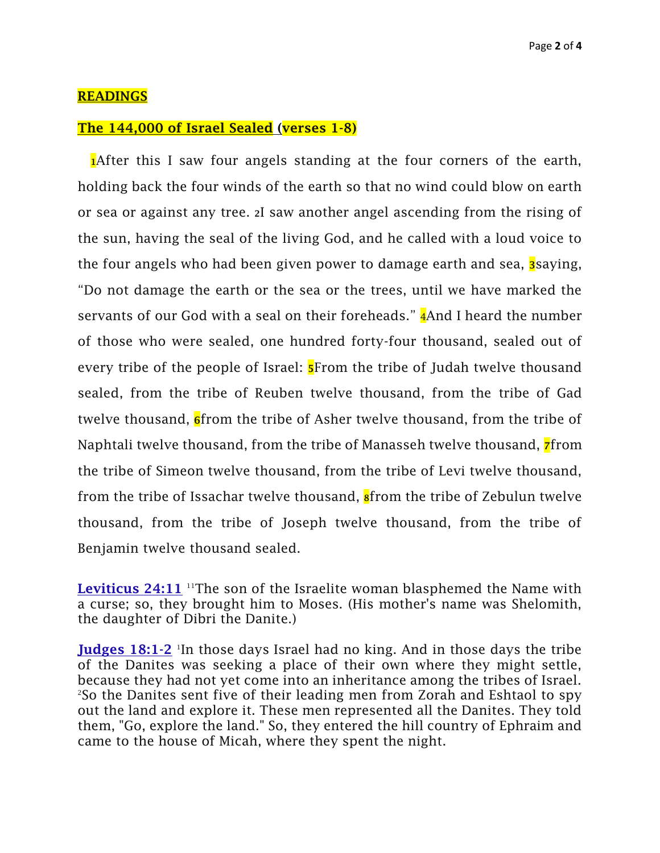### READINGS

#### The 144,000 of Israel Sealed (verses 1-8)

**After this I saw four angels standing at the four corners of the earth,** holding back the four winds of the earth so that no wind could blow on earth or sea or against any tree. <sup>2</sup>I saw another angel ascending from the rising of the sun, having the seal of the living God, and he called with a loud voice to the four angels who had been given power to damage earth and sea, **3** saying, "Do not damage the earth or the sea or the trees, until we have marked the servants of our God with a seal on their foreheads." **4**And I heard the number of those who were sealed, one hundred forty-four thousand, sealed out of every tribe of the people of Israel: **5**From the tribe of Judah twelve thousand sealed, from the tribe of Reuben twelve thousand, from the tribe of Gad twelve thousand, **6** from the tribe of Asher twelve thousand, from the tribe of Naphtali twelve thousand, from the tribe of Manasseh twelve thousand, *r*from the tribe of Simeon twelve thousand, from the tribe of Levi twelve thousand, from the tribe of Issachar twelve thousand, **s**from the tribe of Zebulun twelve thousand, from the tribe of Joseph twelve thousand, from the tribe of Benjamin twelve thousand sealed.

**[Leviticus 24:11](https://www.bing.com/ck/a?!&&p=3a61583febc4a7f302cbb18ecc0e867308facdd19fef0edee6175828f47b05c8JmltdHM9MTY1NTg0ODQwNyZpZ3VpZD04OTJmNDJkYS1jOThjLTQwMjYtOGI1Yi04MGVhNWE4ODJlODEmaW5zaWQ9NTMzNQ&ptn=3&fclid=94a62b19-f1ac-11ec-8158-c0ada4834ac5&u=a1aHR0cDovL3d3dy5iaWJsaWNhLmNvbS9lbi11cy9iaWJsZS9vbmxpbmUtYmlibGUvbml2L2xldml0aWN1cy8yNC8&ntb=1)** <sup>11</sup>The son of the Israelite woman blasphemed the Name with a curse; so, they brought him to Moses. (His mother's name was Shelomith, the daughter of Dibri the Danite.)

[Judges 18:1-2](https://www.bing.com/ck/a?!&&p=968462bdcfea97d32f39d85d3b41505431c4856303771d4240fb90fc1e9ed600JmltdHM9MTY1NTg0ODQwNyZpZ3VpZD04OTJmNDJkYS1jOThjLTQwMjYtOGI1Yi04MGVhNWE4ODJlODEmaW5zaWQ9NTMzNw&ptn=3&fclid=94a631cc-f1ac-11ec-a2f8-622a85f51c6b&u=a1aHR0cDovL3d3dy5iaWJsaWNhLmNvbS9lbi11cy9iaWJsZS9vbmxpbmUtYmlibGUvbml2L2p1ZGdlcy8xOC8&ntb=1) In those days Israel had no king. And in those days the tribe of the Danites was seeking a place of their own where they might settle, because they had not yet come into an inheritance among the tribes of Israel. <sup>2</sup>So the Danites sent five of their leading men from Zorah and Eshtaol to spy out the land and explore it. These men represented all the Danites. They told them, "Go, explore the land." So, they entered the hill country of Ephraim and came to the house of Micah, where they spent the night.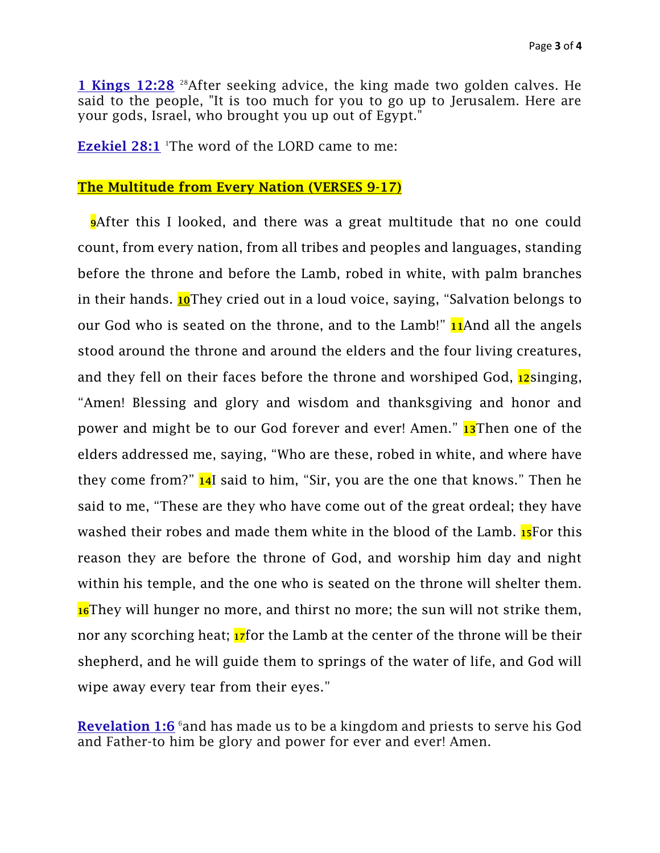[1 Kings 12:28](https://www.bing.com/ck/a?!&&p=e1d1418d620794fb26196f57dfdda4fd72968f3420b34b27ecfeb4d4fcad8aecJmltdHM9MTY1NTg0ODQwNyZpZ3VpZD04OTJmNDJkYS1jOThjLTQwMjYtOGI1Yi04MGVhNWE4ODJlODEmaW5zaWQ9NTMzNg&ptn=3&fclid=94a62e6c-f1ac-11ec-805e-2bbb43c30629&u=a1aHR0cDovL3d3dy5iaWJsaWNhLmNvbS9lbi11cy9iaWJsZS9vbmxpbmUtYmlibGUvbml2LzEta2luZ3MvMTIv&ntb=1) <sup>28</sup>After seeking advice, the king made two golden calves. He said to the people, "It is too much for you to go up to Jerusalem. Here are your gods, Israel, who brought you up out of Egypt."

**[Ezekiel 28:1](https://www.bing.com/ck/a?!&&p=cf76d06386c81c1826cede4bbd4f07a7496894746399fa79193e9c1141dd1fd5JmltdHM9MTY1NTg0ODQwNyZpZ3VpZD04OTJmNDJkYS1jOThjLTQwMjYtOGI1Yi04MGVhNWE4ODJlODEmaW5zaWQ9NTMzNA&ptn=3&fclid=94a6267c-f1ac-11ec-be87-7e4fabc85551&u=a1aHR0cDovL3d3dy5iaWJsaWNhLmNvbS9lbi11cy9iaWJsZS9vbmxpbmUtYmlibGUvbml2L2V6ZWtpZWwvMjgv&ntb=1)** 'The word of the LORD came to me:

#### The Multitude from Every Nation (VERSES 9-17)

**P**After this I looked, and there was a great multitude that no one could count, from every nation, from all tribes and peoples and languages, standing before the throne and before the Lamb, robed in white, with palm branches in their hands. **10**They cried out in a loud voice, saying, "Salvation belongs to our God who is seated on the throne, and to the Lamb!"  $\mu$ And all the angels stood around the throne and around the elders and the four living creatures, and they fell on their faces before the throne and worshiped God,  $12$ singing, "Amen! Blessing and glory and wisdom and thanksgiving and honor and power and might be to our God forever and ever! Amen." 13Then one of the elders addressed me, saying, "Who are these, robed in white, and where have they come from?"  $\frac{1}{4}I$  said to him, "Sir, you are the one that knows." Then he said to me, "These are they who have come out of the great ordeal; they have washed their robes and made them white in the blood of the Lamb. 15For this reason they are before the throne of God, and worship him day and night within his temple, and the one who is seated on the throne will shelter them. 16They will hunger no more, and thirst no more; the sun will not strike them, nor any scorching heat;  $\frac{17}{12}$  for the Lamb at the center of the throne will be their shepherd, and he will guide them to springs of the water of life, and God will wipe away every tear from their eyes."

**[Revelation 1:6](https://www.bing.com/ck/a?!&&p=0209d0d239ed933a8481b2d669f1631d9dbee8630df565ffa5f9ec12c4a4eb39JmltdHM9MTY1NTkzNTkzMCZpZ3VpZD1jOTUyODJiMC00Zjc1LTRlYTAtODU3ZS00MDljOGFkMjRhMjYmaW5zaWQ9NTM0NA&ptn=3&fclid=5c08344b-f278-11ec-9ef9-f5fbd635ed4a&u=a1aHR0cDovL3d3dy5iaWJsaWNhLmNvbS9lbi11cy9iaWJsZS9vbmxpbmUtYmlibGUvbml2L3JldmVsYXRpb24vMS8&ntb=1)** and has made us to be a kingdom and priests to serve his God and Father-to him be glory and power for ever and ever! Amen.